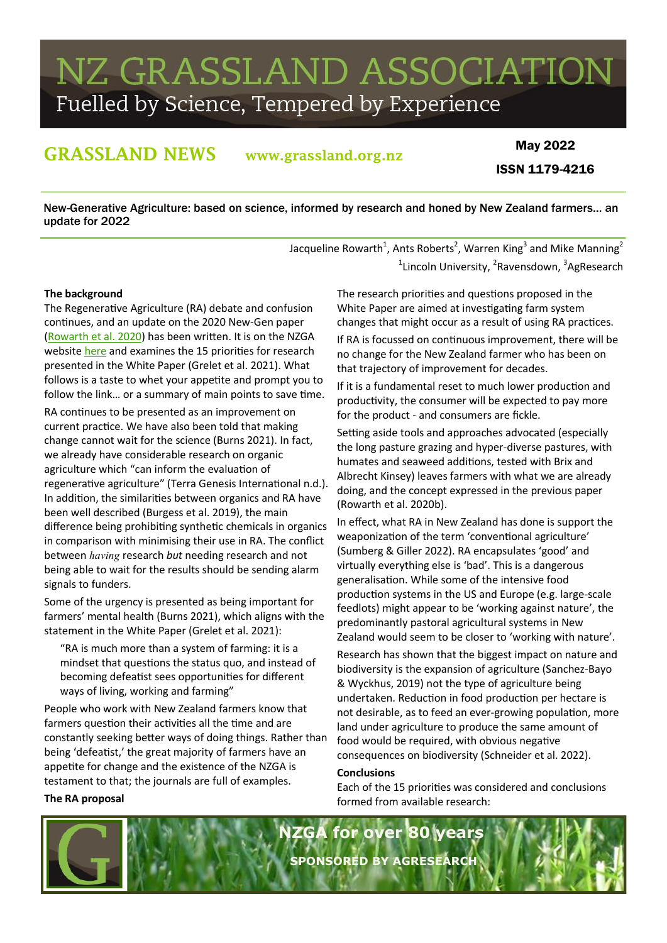# NZ GRASSLAND ASSOCIATION Fuelled by Science, Tempered by Experience

# GRASSLAND NEWS www.grassland.org.nz

# May 2022 ISSN 1179-4216

New-Generative Agriculture: based on science, informed by research and honed by New Zealand farmers… an update for 2022

> Jacqueline Rowarth<sup>1</sup>, Ants Roberts<sup>2</sup>, Warren King<sup>3</sup> and Mike Manning<sup>2</sup> <sup>1</sup>Lincoln University, <sup>2</sup>Ravensdown, <sup>3</sup>AgResearch

# **The background**

**The RA proposal**

The Regenerative Agriculture (RA) debate and confusion continues, and an update on the 2020 New-Gen paper ([Rowarth et al. 2020\)](https://doi.org/10.33584/jnzg.2020.82.430) has been written. It is on the NZGA website [here](https://www.grassland.org.nz/userfiles/files/NZGA_RA_science%20May%202022.pdf) and examines the 15 priorities for research presented in the White Paper (Grelet et al. 2021). What follows is a taste to whet your appetite and prompt you to follow the link… or a summary of main points to save time.

RA continues to be presented as an improvement on current practice. We have also been told that making change cannot wait for the science (Burns 2021). In fact, we already have considerable research on organic agriculture which "can inform the evaluation of regenerative agriculture" (Terra Genesis International n.d.). In addition, the similarities between organics and RA have been well described (Burgess et al. 2019), the main difference being prohibiting synthetic chemicals in organics in comparison with minimising their use in RA. The conflict between *having* research *but* needing research and not being able to wait for the results should be sending alarm signals to funders.

Some of the urgency is presented as being important for farmers' mental health (Burns 2021), which aligns with the statement in the White Paper (Grelet et al. 2021):

"RA is much more than a system of farming: it is a mindset that questions the status quo, and instead of becoming defeatist sees opportunities for different ways of living, working and farming"

People who work with New Zealand farmers know that farmers question their activities all the time and are constantly seeking better ways of doing things. Rather than being 'defeatist,' the great majority of farmers have an appetite for change and the existence of the NZGA is testament to that; the journals are full of examples.

The research priorities and questions proposed in the White Paper are aimed at investigating farm system changes that might occur as a result of using RA practices.

If RA is focussed on continuous improvement, there will be no change for the New Zealand farmer who has been on that trajectory of improvement for decades.

If it is a fundamental reset to much lower production and productivity, the consumer will be expected to pay more for the product - and consumers are fickle.

Setting aside tools and approaches advocated (especially the long pasture grazing and hyper-diverse pastures, with humates and seaweed additions, tested with Brix and Albrecht Kinsey) leaves farmers with what we are already doing, and the concept expressed in the previous paper (Rowarth et al. 2020b).

In effect, what RA in New Zealand has done is support the weaponization of the term 'conventional agriculture' (Sumberg & Giller 2022). RA encapsulates 'good' and virtually everything else is 'bad'. This is a dangerous generalisation. While some of the intensive food production systems in the US and Europe (e.g. large-scale feedlots) might appear to be 'working against nature', the predominantly pastoral agricultural systems in New Zealand would seem to be closer to 'working with nature'.

Research has shown that the biggest impact on nature and biodiversity is the expansion of agriculture (Sanchez-Bayo & Wyckhus, 2019) not the type of agriculture being undertaken. Reduction in food production per hectare is not desirable, as to feed an ever-growing population, more land under agriculture to produce the same amount of food would be required, with obvious negative consequences on biodiversity (Schneider et al. 2022).

### **Conclusions**

Each of the 15 priorities was considered and conclusions formed from available research:

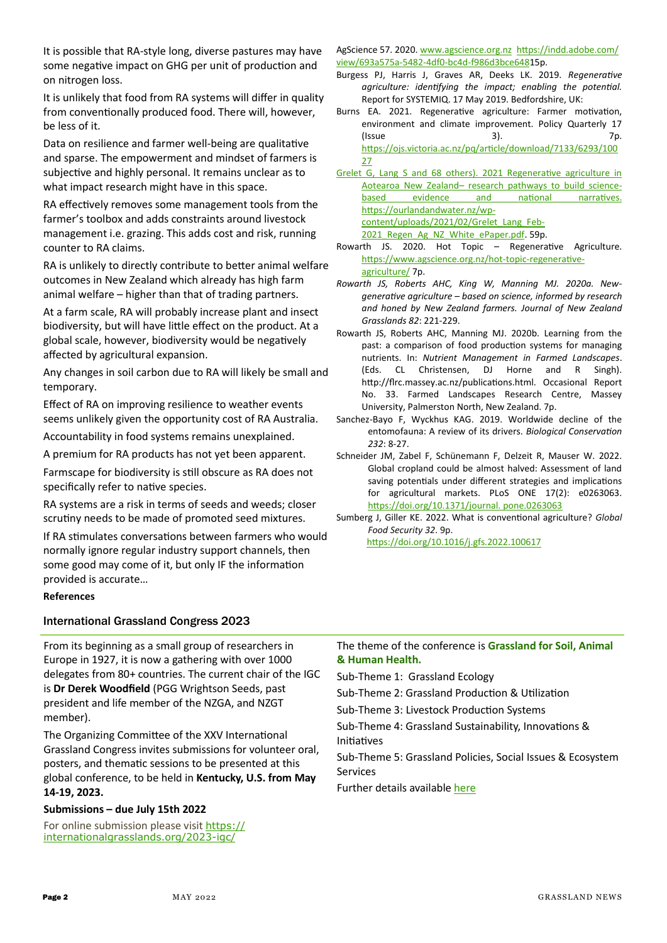It is possible that RA-style long, diverse pastures may have some negative impact on GHG per unit of production and on nitrogen loss.

It is unlikely that food from RA systems will differ in quality from conventionally produced food. There will, however, be less of it.

Data on resilience and farmer well-being are qualitative and sparse. The empowerment and mindset of farmers is subjective and highly personal. It remains unclear as to what impact research might have in this space.

RA effectively removes some management tools from the farmer's toolbox and adds constraints around livestock management i.e. grazing. This adds cost and risk, running counter to RA claims.

RA is unlikely to directly contribute to better animal welfare outcomes in New Zealand which already has high farm animal welfare – higher than that of trading partners.

At a farm scale, RA will probably increase plant and insect biodiversity, but will have little effect on the product. At a global scale, however, biodiversity would be negatively affected by agricultural expansion.

Any changes in soil carbon due to RA will likely be small and temporary.

Effect of RA on improving resilience to weather events seems unlikely given the opportunity cost of RA Australia.

Accountability in food systems remains unexplained.

A premium for RA products has not yet been apparent.

Farmscape for biodiversity is still obscure as RA does not specifically refer to native species.

RA systems are a risk in terms of seeds and weeds; closer scrutiny needs to be made of promoted seed mixtures.

If RA stimulates conversations between farmers who would normally ignore regular industry support channels, then some good may come of it, but only IF the information provided is accurate…

### **References**

### International Grassland Congress 2023

AgScience 57. 2020. [www.agscience.org.nz https://indd.adobe.com/](about:blank) [view/693a575a](about:blank)-5482-4df0-bc4d-f986d3bce64815p.

- Burgess PJ, Harris J, Graves AR, Deeks LK. 2019. *Regenerative agriculture: identifying the impact; enabling the potential.*  Report for SYSTEMIQ. 17 May 2019. Bedfordshire, UK:
- Burns EA. 2021. Regenerative agriculture: Farmer motivation, environment and climate improvement. Policy Quarterly 17  $($  Issue  $\qquad \qquad$  3). Tp. [https://ojs.victoria.ac.nz/pq/article/download/7133/6293/100](https://ojs.victoria.ac.nz/pq/article/download/7133/6293/10027) [27](https://ojs.victoria.ac.nz/pq/article/download/7133/6293/10027)

Grelet G, Lang S and 68 others). 2021 Regenerative agriculture in Aotearoa New Zealand– research pathways to build sciencebased evidence and national narratives. [https://ourlandandwater.nz/wp](https://ourlandandwater.nz/wp-content/uploads/2021/02/Grelet_Lang_Feb-2021_Regen_Ag_NZ_White_ePaper.pdf)[content/uploads/2021/02/Grelet\\_Lang\\_Feb](https://ourlandandwater.nz/wp-content/uploads/2021/02/Grelet_Lang_Feb-2021_Regen_Ag_NZ_White_ePaper.pdf)-2021 Regen Ag\_NZ\_White\_ePaper.pdf. 59p.

- Rowarth JS. 2020. Hot Topic Regenerative Agriculture. [https://www.agscience.org.nz/hot](about:blank)-topic-regenerative[agriculture/](about:blank) 7p.
- *Rowarth JS, Roberts AHC, King W, Manning MJ. 2020a. Newgenerative agriculture – based on science, informed by research and honed by New Zealand farmers. Journal of New Zealand Grasslands 82*: 221-229.
- Rowarth JS, Roberts AHC, Manning MJ. 2020b. Learning from the past: a comparison of food production systems for managing nutrients. In: *Nutrient Management in Farmed Landscapes*. (Eds. CL Christensen, DJ Horne and R Singh). http://flrc.massey.ac.nz/publications.html. Occasional Report No. 33. Farmed Landscapes Research Centre, Massey University, Palmerston North, New Zealand. 7p.
- Sanchez-Bayo F, Wyckhus KAG. 2019. Worldwide decline of the entomofauna: A review of its drivers. *Biological Conservation 232*: 8-27.
- Schneider JM, Zabel F, Schünemann F, Delzeit R, Mauser W. 2022. Global cropland could be almost halved: Assessment of land saving potentials under different strategies and implications for agricultural markets. PLoS ONE 17(2): e0263063. [https://doi.org/10.1371/journal. pone.0263063](https://doi.org/10.1371/journal.%20pone.0263063)
- Sumberg J, Giller KE. 2022. What is conventional agriculture? *Global Food Security 32*. 9p. <https://doi.org/10.1016/j.gfs.2022.100617>

From its beginning as a small group of researchers in Europe in 1927, it is now a gathering with over 1000 delegates from 80+ countries. The current chair of the IGC is **Dr Derek Woodfield** (PGG Wrightson Seeds, past president and life member of the NZGA, and NZGT member).

The Organizing Committee of the XXV International Grassland Congress invites submissions for volunteer oral, posters, and thematic sessions to be presented at this global conference, to be held in **Kentucky, U.S. from May 14-19, 2023.**

# **Submissions – due July 15th 2022**

For online submission please visit [https://](https://internationalgrasslands.org/2023-igc/) [internationalgrasslands.org/2023](https://internationalgrasslands.org/2023-igc/)-igc/

The theme of the conference is **Grassland for Soil, Animal & Human Health.**

Sub-Theme 1: Grassland Ecology

Sub-Theme 2: Grassland Production & Utilization

Sub-Theme 3: Livestock Production Systems

Sub-Theme 4: Grassland Sustainability, Innovations & Initiatives

Sub-Theme 5: Grassland Policies, Social Issues & Ecosystem Services

Further details available [here](https://www.grassland.org.nz/userfiles/files/IGC%202023%20Call-for-Presentations.pdf)